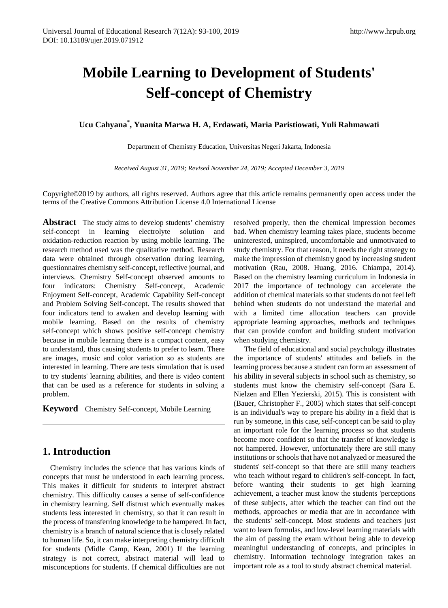# **Mobile Learning to Development of Students' Self-concept of Chemistry**

**Ucu Cahyana\* , Yuanita Marwa H. A, Erdawati, Maria Paristiowati, Yuli Rahmawati**

Department of Chemistry Education, Universitas Negeri Jakarta, Indonesia

*Received August 31, 2019; Revised November 24, 2019; Accepted December 3, 2019*

Copyright©2019 by authors, all rights reserved. Authors agree that this article remains permanently open access under the terms of the Creative Commons Attribution License 4.0 International License

**Abstract** The study aims to develop students' chemistry self-concept in learning electrolyte solution and oxidation-reduction reaction by using mobile learning. The research method used was the qualitative method. Research data were obtained through observation during learning, questionnaires chemistry self-concept, reflective journal, and interviews. Chemistry Self-concept observed amounts to four indicators: Chemistry Self-concept, Academic Enjoyment Self-concept, Academic Capability Self-concept and Problem Solving Self-concept. The results showed that four indicators tend to awaken and develop learning with mobile learning. Based on the results of chemistry self-concept which shows positive self-concept chemistry because in mobile learning there is a compact content, easy to understand, thus causing students to prefer to learn. There are images, music and color variation so as students are interested in learning. There are tests simulation that is used to try students' learning abilities, and there is video content that can be used as a reference for students in solving a problem.

**Keyword** Chemistry Self-concept, Mobile Learning

# **1. Introduction**

Chemistry includes the science that has various kinds of concepts that must be understood in each learning process. This makes it difficult for students to interpret abstract chemistry. This difficulty causes a sense of self-confidence in chemistry learning. Self distrust which eventually makes students less interested in chemistry, so that it can result in the process of transferring knowledge to be hampered. In fact, chemistry is a branch of natural science that is closely related to human life. So, it can make interpreting chemistry difficult for students (Midle Camp, Kean, 2001) If the learning strategy is not correct, abstract material will lead to misconceptions for students. If chemical difficulties are not

resolved properly, then the chemical impression becomes bad. When chemistry learning takes place, students become uninterested, uninspired, uncomfortable and unmotivated to study chemistry. For that reason, it needs the right strategy to make the impression of chemistry good by increasing student motivation (Rau, 2008. Huang, 2016. Chiampa, 2014). Based on the chemistry learning curriculum in Indonesia in 2017 the importance of technology can accelerate the addition of chemical materials so that students do not feel left behind when students do not understand the material and with a limited time allocation teachers can provide appropriate learning approaches, methods and techniques that can provide comfort and building student motivation when studying chemistry.

 The field of educational and social psychology illustrates the importance of students' attitudes and beliefs in the learning process because a student can form an assessment of his ability in several subjects in school such as chemistry, so students must know the chemistry self-concept (Sara E. Nielzen and Ellen Yezierski, 2015). This is consistent with (Bauer, Christopher F., 2005) which states that self-concept is an individual's way to prepare his ability in a field that is run by someone, in this case, self-concept can be said to play an important role for the learning process so that students become more confident so that the transfer of knowledge is not hampered. However, unfortunately there are still many institutions or schools that have not analyzed or measured the students' self-concept so that there are still many teachers who teach without regard to children's self-concept. In fact, before wanting their students to get high learning achievement, a teacher must know the students 'perceptions of these subjects, after which the teacher can find out the methods, approaches or media that are in accordance with the students' self-concept. Most students and teachers just want to learn formulas, and low-level learning materials with the aim of passing the exam without being able to develop meaningful understanding of concepts, and principles in chemistry. Information technology integration takes an important role as a tool to study abstract chemical material.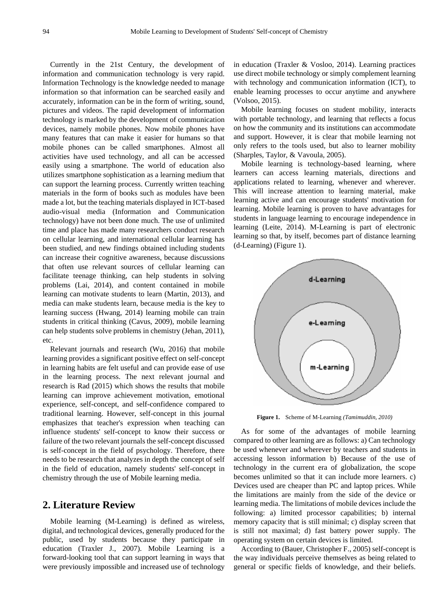Currently in the 21st Century, the development of information and communication technology is very rapid. Information Technology is the knowledge needed to manage information so that information can be searched easily and accurately, information can be in the form of writing, sound, pictures and videos. The rapid development of information technology is marked by the development of communication devices, namely mobile phones. Now mobile phones have many features that can make it easier for humans so that mobile phones can be called smartphones. Almost all activities have used technology, and all can be accessed easily using a smartphone. The world of education also utilizes smartphone sophistication as a learning medium that can support the learning process. Currently written teaching materials in the form of books such as modules have been made a lot, but the teaching materials displayed in ICT-based audio-visual media (Information and Communication technology) have not been done much. The use of unlimited time and place has made many researchers conduct research on cellular learning, and international cellular learning has been studied, and new findings obtained including students can increase their cognitive awareness, because discussions that often use relevant sources of cellular learning can facilitate teenage thinking, can help students in solving problems (Lai, 2014), and content contained in mobile learning can motivate students to learn (Martin, 2013), and media can make students learn, because media is the key to learning success (Hwang, 2014) learning mobile can train students in critical thinking (Cavus, 2009), mobile learning can help students solve problems in chemistry (Jehan, 2011), etc.

Relevant journals and research (Wu, 2016) that mobile learning provides a significant positive effect on self-concept in learning habits are felt useful and can provide ease of use in the learning process. The next relevant journal and research is Rad (2015) which shows the results that mobile learning can improve achievement motivation, emotional experience, self-concept, and self-confidence compared to traditional learning. However, self-concept in this journal emphasizes that teacher's expression when teaching can influence students' self-concept to know their success or failure of the two relevant journals the self-concept discussed is self-concept in the field of psychology. Therefore, there needs to be research that analyzes in depth the concept of self in the field of education, namely students' self-concept in chemistry through the use of Mobile learning media.

# **2. Literature Review**

Mobile learning (M-Learning) is defined as wireless, digital, and technological devices, generally produced for the public, used by students because they participate in education (Traxler J., 2007). Mobile Learning is a forward-looking tool that can support learning in ways that were previously impossible and increased use of technology

in education (Traxler & Vosloo, 2014). Learning practices use direct mobile technology or simply complement learning with technology and communication information (ICT), to enable learning processes to occur anytime and anywhere (Volsoo, 2015).

Mobile learning focuses on student mobility, interacts with portable technology, and learning that reflects a focus on how the community and its institutions can accommodate and support. However, it is clear that mobile learning not only refers to the tools used, but also to learner mobility (Sharples, Taylor, & Vavoula, 2005).

Mobile learning is technology-based learning, where learners can access learning materials, directions and applications related to learning, whenever and wherever. This will increase attention to learning material, make learning active and can encourage students' motivation for learning. Mobile learning is proven to have advantages for students in language learning to encourage independence in learning (Leite, 2014). M-Learning is part of electronic learning so that, by itself, becomes part of distance learning (d-Learning) (Figure 1).



**Figure 1.** Scheme of M-Learning *(Tamimuddin, 2010)*

As for some of the advantages of mobile learning compared to other learning are as follows: a) Can technology be used whenever and wherever by teachers and students in accessing lesson information b) Because of the use of technology in the current era of globalization, the scope becomes unlimited so that it can include more learners. c) Devices used are cheaper than PC and laptop prices. While the limitations are mainly from the side of the device or learning media. The limitations of mobile devices include the following: a) limited processor capabilities; b) internal memory capacity that is still minimal; c) display screen that is still not maximal; d) fast battery power supply. The operating system on certain devices is limited.

According to (Bauer, Christopher F., 2005) self-concept is the way individuals perceive themselves as being related to general or specific fields of knowledge, and their beliefs.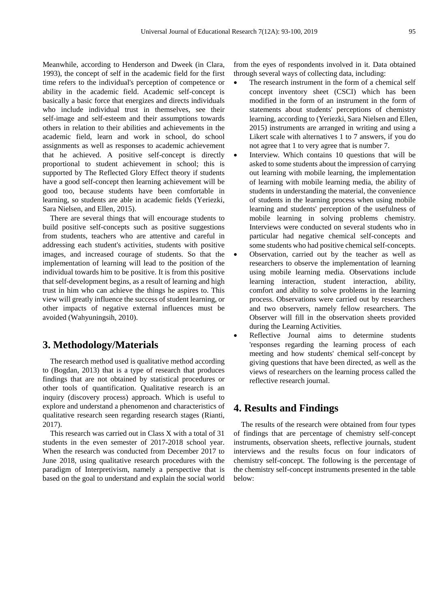Meanwhile, according to Henderson and Dweek (in Clara, 1993), the concept of self in the academic field for the first time refers to the individual's perception of competence or ability in the academic field. Academic self-concept is basically a basic force that energizes and directs individuals who include individual trust in themselves, see their self-image and self-esteem and their assumptions towards others in relation to their abilities and achievements in the academic field, learn and work in school, do school assignments as well as responses to academic achievement that he achieved. A positive self-concept is directly proportional to student achievement in school; this is supported by The Reflected Glory Effect theory if students have a good self-concept then learning achievement will be good too, because students have been comfortable in learning, so students are able in academic fields (Yeriezki, Sara Nielsen, and Ellen, 2015).

There are several things that will encourage students to build positive self-concepts such as positive suggestions from students, teachers who are attentive and careful in addressing each student's activities, students with positive images, and increased courage of students. So that the implementation of learning will lead to the position of the individual towards him to be positive. It is from this positive that self-development begins, as a result of learning and high trust in him who can achieve the things he aspires to. This view will greatly influence the success of student learning, or other impacts of negative external influences must be avoided (Wahyuningsih, 2010).

# **3. Methodology/Materials**

The research method used is qualitative method according to (Bogdan, 2013) that is a type of research that produces findings that are not obtained by statistical procedures or other tools of quantification. Qualitative research is an inquiry (discovery process) approach. Which is useful to explore and understand a phenomenon and characteristics of qualitative research seen regarding research stages (Rianti, 2017).

This research was carried out in Class X with a total of 31 students in the even semester of 2017-2018 school year. When the research was conducted from December 2017 to June 2018, using qualitative research procedures with the paradigm of Interpretivism, namely a perspective that is based on the goal to understand and explain the social world from the eyes of respondents involved in it. Data obtained through several ways of collecting data, including:

- The research instrument in the form of a chemical self concept inventory sheet (CSCI) which has been modified in the form of an instrument in the form of statements about students' perceptions of chemistry learning, according to (Yeriezki, Sara Nielsen and Ellen, 2015) instruments are arranged in writing and using a Likert scale with alternatives 1 to 7 answers, if you do not agree that 1 to very agree that is number 7.
- Interview. Which contains 10 questions that will be asked to some students about the impression of carrying out learning with mobile learning, the implementation of learning with mobile learning media, the ability of students in understanding the material, the convenience of students in the learning process when using mobile learning and students' perception of the usefulness of mobile learning in solving problems chemistry. Interviews were conducted on several students who in particular had negative chemical self-concepts and some students who had positive chemical self-concepts.
- Observation, carried out by the teacher as well as researchers to observe the implementation of learning using mobile learning media. Observations include learning interaction, student interaction, ability, comfort and ability to solve problems in the learning process. Observations were carried out by researchers and two observers, namely fellow researchers. The Observer will fill in the observation sheets provided during the Learning Activities.
- Reflective Journal aims to determine students 'responses regarding the learning process of each meeting and how students' chemical self-concept by giving questions that have been directed, as well as the views of researchers on the learning process called the reflective research journal.

## **4. Results and Findings**

The results of the research were obtained from four types of findings that are percentage of chemistry self-concept instruments, observation sheets, reflective journals, student interviews and the results focus on four indicators of chemistry self-concept. The following is the percentage of the chemistry self-concept instruments presented in the table below: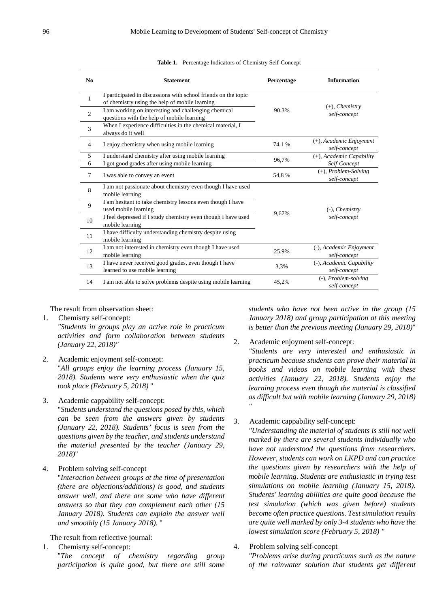| No             | <b>Statement</b>                                                                                                 | Percentage | <b>Information</b>                       |
|----------------|------------------------------------------------------------------------------------------------------------------|------------|------------------------------------------|
| $\mathbf{1}$   | I participated in discussions with school friends on the topic<br>of chemistry using the help of mobile learning |            | $(+)$ , <i>Chemistry</i>                 |
| $\overline{2}$ | I am working on interesting and challenging chemical<br>questions with the help of mobile learning               | 90.3%      | self-concept                             |
| 3              | When I experience difficulties in the chemical material, I<br>always do it well                                  |            |                                          |
| $\overline{4}$ | I enjoy chemistry when using mobile learning                                                                     | 74,1 %     | (+), Academic Enjoyment<br>self-concept  |
| 5              | I understand chemistry after using mobile learning                                                               | 96,7%      | (+), Academic Capability                 |
| 6              | I got good grades after using mobile learning                                                                    |            | Self-Concept                             |
| 7              | I was able to convey an event                                                                                    | 54.8%      | $(+)$ , Problem-Solving<br>self-concept  |
| 8              | I am not passionate about chemistry even though I have used<br>mobile learning                                   |            |                                          |
| 9              | I am hesitant to take chemistry lessons even though I have<br>used mobile learning                               | 9,67%      | $(-)$ , <i>Chemistry</i><br>self-concept |
| 10             | I feel depressed if I study chemistry even though I have used<br>mobile learning                                 |            |                                          |
| 11             | I have difficulty understanding chemistry despite using<br>mobile learning                                       |            |                                          |
| 12             | I am not interested in chemistry even though I have used<br>mobile learning                                      | 25,9%      | (-), Academic Enjoyment<br>self-concept  |
| 13             | I have never received good grades, even though I have<br>learned to use mobile learning                          | 3.3%       | (-), Academic Capability<br>self-concept |
| 14             | I am not able to solve problems despite using mobile learning                                                    | 45,2%      | (-), Problem-solving<br>self-concept     |

|  |  |  |  |  | Table 1. Percentage Indicators of Chemistry Self-Concept |
|--|--|--|--|--|----------------------------------------------------------|
|--|--|--|--|--|----------------------------------------------------------|

The result from observation sheet:

- 1. Chemisrty self-concept: *"Students in groups play an active role in practicum activities and form collaboration between students (January 22, 2018)"*
- 2. Academic enjoyment self-concept:

"*All groups enjoy the learning process (January 15, 2018). Students were very enthusiastic when the quiz took place (February 5, 2018)* "

3. Academic cappability self-concept:

"*Students understand the questions posed by this, which can be seen from the answers given by students (January 22, 2018). Students' focus is seen from the questions given by the teacher, and students understand the material presented by the teacher (January 29, 2018)*"

4. Problem solving self-concept

"*Interaction between groups at the time of presentation (there are objections/additions) is good, and students answer well, and there are some who have different answers so that they can complement each other (15 January 2018). Students can explain the answer well and smoothly (15 January 2018).* "

The result from reflective journal:

1. Chemisrty self-concept: "*The concept of chemistry regarding group participation is quite good, but there are still some*  *students who have not been active in the group (15 January 2018) and group participation at this meeting is better than the previous meeting (January 29, 2018)*"

2. Academic enjoyment self-concept:

*"Students are very interested and enthusiastic in practicum because students can prove their material in books and videos on mobile learning with these activities (January 22, 2018). Students enjoy the learning process even though the material is classified as difficult but with mobile learning (January 29, 2018) "*

3. Academic cappability self-concept:

*"Understanding the material of students is still not well marked by there are several students individually who have not understood the questions from researchers. However, students can work on LKPD and can practice the questions given by researchers with the help of mobile learning. Students are enthusiastic in trying test simulations on mobile learning (January 15, 2018). Students' learning abilities are quite good because the test simulation (which was given before) students become often practice questions. Test simulation results are quite well marked by only 3-4 students who have the lowest simulation score (February 5, 2018) "*

4. Problem solving self-concept

*"Problems arise during practicums such as the nature of the rainwater solution that students get different*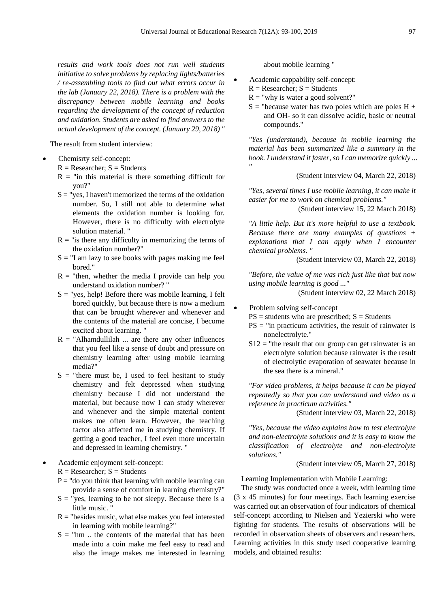*"*

*results and work tools does not run well students initiative to solve problems by replacing lights/batteries / re-assembling tools to find out what errors occur in the lab (January 22, 2018). There is a problem with the discrepancy between mobile learning and books regarding the development of the concept of reduction and oxidation. Students are asked to find answers to the actual development of the concept. (January 29, 2018) "*

The result from student interview:

#### Chemisrty self-concept:

- $R = Researcher$ ;  $S = Students$
- $R =$  "in this material is there something difficult for you?"
- $S = "yes, I haven't memorized the terms of the oxidation$ number. So, I still not able to determine what elements the oxidation number is looking for. However, there is no difficulty with electrolyte solution material. "
- $R =$  "is there any difficulty in memorizing the terms of the oxidation number?"
- $S = "I$  am lazy to see books with pages making me feel bored."
- $R =$  "then, whether the media I provide can help you understand oxidation number? "
- $S = "yes, help! Before there was mobile learning, I felt$ bored quickly, but because there is now a medium that can be brought wherever and whenever and the contents of the material are concise, I become excited about learning. "
- $R = "Ahhamdullilah$  ... are there any other influences that you feel like a sense of doubt and pressure on chemistry learning after using mobile learning media?"
- $S =$  "there must be, I used to feel hesitant to study chemistry and felt depressed when studying chemistry because I did not understand the material, but because now I can study wherever and whenever and the simple material content makes me often learn. However, the teaching factor also affected me in studying chemistry. If getting a good teacher, I feel even more uncertain and depressed in learning chemistry. "
- Academic enjoyment self-concept:

 $R =$  Researcher;  $S =$  Students

- $P = "$ do you think that learning with mobile learning can provide a sense of comfort in learning chemistry?"
- $S =$  "yes, learning to be not sleepy. Because there is a little music. "
- $R =$  "besides music, what else makes you feel interested in learning with mobile learning?"
- $S =$  "hm ... the contents of the material that has been made into a coin make me feel easy to read and also the image makes me interested in learning

about mobile learning "

• Academic cappability self-concept:

- $R =$  Researcher;  $S =$  Students
- $R =$ "why is water a good solvent?"
- $S =$  "because water has two poles which are poles  $H +$ and OH- so it can dissolve acidic, basic or neutral compounds."

*"Yes (understand), because in mobile learning the material has been summarized like a summary in the book. I understand it faster, so I can memorize quickly ...*

(Student interview 04, March 22, 2018)

*"Yes, several times I use mobile learning, it can make it easier for me to work on chemical problems."*

(Student interview 15, 22 March 2018)

*"A little help. But it's more helpful to use a textbook. Because there are many examples of questions + explanations that I can apply when I encounter chemical problems. "*

(Student interview 03, March 22, 2018)

*"Before, the value of me was rich just like that but now using mobile learning is good ..."*

(Student interview 02, 22 March 2018)

#### • Problem solving self-concept

 $PS = students$  who are prescribed;  $S = Students$ 

- $PS =$  "in practicum activities, the result of rainwater is nonelectrolyte."
- $S12$  = "the result that our group can get rainwater is an electrolyte solution because rainwater is the result of electrolytic evaporation of seawater because in the sea there is a mineral."

*"For video problems, it helps because it can be played repeatedly so that you can understand and video as a reference in practicum activities."*

(Student interview 03, March 22, 2018)

*"Yes, because the video explains how to test electrolyte and non-electrolyte solutions and it is easy to know the classification of electrolyte and non-electrolyte solutions."*

(Student interview 05, March 27, 2018)

Learning Implementation with Mobile Learning:

The study was conducted once a week, with learning time (3 x 45 minutes) for four meetings. Each learning exercise was carried out an observation of four indicators of chemical self-concept according to Nielsen and Yezierski who were fighting for students. The results of observations will be recorded in observation sheets of observers and researchers. Learning activities in this study used cooperative learning models, and obtained results: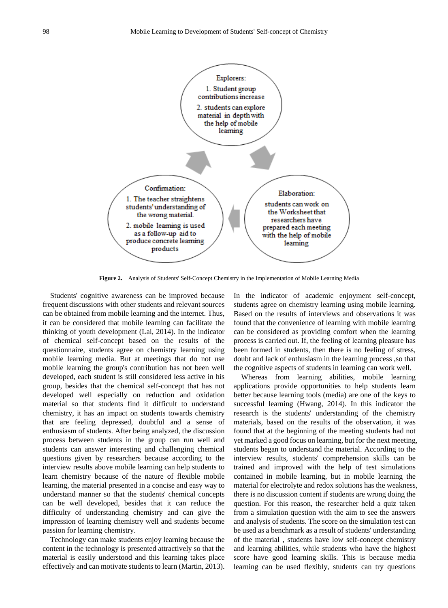

**Figure 2.** Analysis of Students' Self-Concept Chemistry in the Implementation of Mobile Learning Media

Students' cognitive awareness can be improved because frequent discussions with other students and relevant sources can be obtained from mobile learning and the internet. Thus, it can be considered that mobile learning can facilitate the thinking of youth development (Lai, 2014). In the indicator of chemical self-concept based on the results of the questionnaire, students agree on chemistry learning using mobile learning media. But at meetings that do not use mobile learning the group's contribution has not been well developed, each student is still considered less active in his group, besides that the chemical self-concept that has not developed well especially on reduction and oxidation material so that students find it difficult to understand chemistry, it has an impact on students towards chemistry that are feeling depressed, doubtful and a sense of enthusiasm of students. After being analyzed, the discussion process between students in the group can run well and students can answer interesting and challenging chemical questions given by researchers because according to the interview results above mobile learning can help students to learn chemistry because of the nature of flexible mobile learning, the material presented in a concise and easy way to understand manner so that the students' chemical concepts can be well developed, besides that it can reduce the difficulty of understanding chemistry and can give the impression of learning chemistry well and students become passion for learning chemistry.

Technology can make students enjoy learning because the content in the technology is presented attractively so that the material is easily understood and this learning takes place effectively and can motivate students to learn (Martin, 2013).

In the indicator of academic enjoyment self-concept, students agree on chemistry learning using mobile learning. Based on the results of interviews and observations it was found that the convenience of learning with mobile learning can be considered as providing comfort when the learning process is carried out. If, the feeling of learning pleasure has been formed in students, then there is no feeling of stress, doubt and lack of enthusiasm in the learning process ,so that the cognitive aspects of students in learning can work well.

Whereas from learning abilities, mobile learning applications provide opportunities to help students learn better because learning tools (media) are one of the keys to successful learning (Hwang, 2014). In this indicator the research is the students' understanding of the chemistry materials, based on the results of the observation, it was found that at the beginning of the meeting students had not yet marked a good focus on learning, but for the next meeting, students began to understand the material. According to the interview results, students' comprehension skills can be trained and improved with the help of test simulations contained in mobile learning, but in mobile learning the material for electrolyte and redox solutions has the weakness, there is no discussion content if students are wrong doing the question. For this reason, the researcher held a quiz taken from a simulation question with the aim to see the answers and analysis of students. The score on the simulation test can be used as a benchmark as a result of students' understanding of the material , students have low self-concept chemistry and learning abilities, while students who have the highest score have good learning skills. This is because media learning can be used flexibly, students can try questions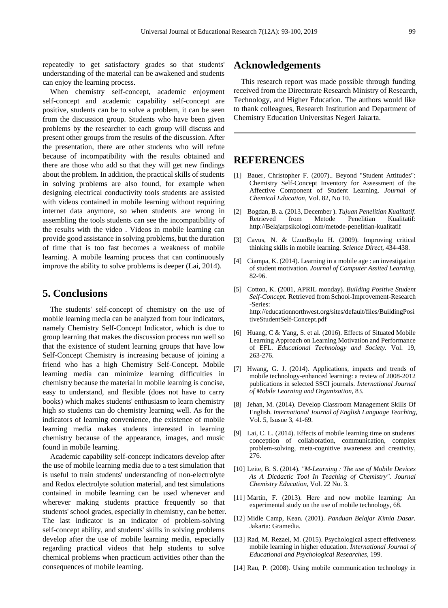repeatedly to get satisfactory grades so that students' understanding of the material can be awakened and students can enjoy the learning process.

When chemistry self-concept, academic enjoyment self-concept and academic capability self-concept are positive, students can be to solve a problem, it can be seen from the discussion group. Students who have been given problems by the researcher to each group will discuss and present other groups from the results of the discussion. After the presentation, there are other students who will refute because of incompatibility with the results obtained and there are those who add so that they will get new findings about the problem. In addition, the practical skills of students in solving problems are also found, for example when designing electrical conductivity tools students are assisted with videos contained in mobile learning without requiring internet data anymore, so when students are wrong in assembling the tools students can see the incompatibility of the results with the video . Videos in mobile learning can provide good assistance in solving problems, but the duration of time that is too fast becomes a weakness of mobile learning. A mobile learning process that can continuously improve the ability to solve problems is deeper (Lai, 2014).

# **5. Conclusions**

The students' self-concept of chemistry on the use of mobile learning media can be analyzed from four indicators, namely Chemistry Self-Concept Indicator, which is due to group learning that makes the discussion process run well so that the existence of student learning groups that have low Self-Concept Chemistry is increasing because of joining a friend who has a high Chemistry Self-Concept. Mobile learning media can minimize learning difficulties in chemistry because the material in mobile learning is concise, easy to understand, and flexible (does not have to carry books) which makes students' enthusiasm to learn chemistry high so students can do chemistry learning well. As for the indicators of learning convenience, the existence of mobile learning media makes students interested in learning chemistry because of the appearance, images, and music found in mobile learning.

Academic capability self-concept indicators develop after the use of mobile learning media due to a test simulation that is useful to train students' understanding of non-electrolyte and Redox electrolyte solution material, and test simulations contained in mobile learning can be used whenever and wherever making students practice frequently so that students' school grades, especially in chemistry, can be better. The last indicator is an indicator of problem-solving self-concept ability, and students' skills in solving problems develop after the use of mobile learning media, especially regarding practical videos that help students to solve chemical problems when practicum activities other than the consequences of mobile learning.

### **Acknowledgements**

This research report was made possible through funding received from the Directorate Research Ministry of Research, Technology, and Higher Education. The authors would like to thank colleagues, Research Institution and Department of Chemistry Education Universitas Negeri Jakarta.

## **REFERENCES**

- [1] Bauer, Christopher F. (2007).. Beyond "Student Attitudes": Chemistry Self-Concept Inventory for Assessment of the Affective Component of Student Learning. *Journal of Chemical Education,* Vol. 82, No 10.
- [2] Bogdan, B. a. (2013, December ). *Tujuan Penelitian Kualitatif*. Penelitian http://Belajarpsikologi.com/metode-penelitian-kualitatif
- [3] Cavus, N. & UzunBoylu H. (2009). Improving critical thinking skills in mobile learning. *Science Direct,* 434-438.
- [4] Ciampa, K. (2014). Learning in a mobile age : an investigation of student motivation. *Journal of Computer Assited Learning,* 82-96.
- [5] Cotton, K. (2001, APRIL monday). *Building Positive Student Self-Concept.* Retrieved from School-Improvement-Research -Series: http://educationnorthwest.org/sites/default/files/BuildingPosi tiveStudentSelf-Concept.pdf
- [6] Huang, C & Yang, S. et al. (2016). Effects of Situated Mobile Learning Approach on Learning Motivation and Performance of EFL*. Educational Technology and Society.* Vol. 19, 263-276.
- [7] Hwang, G. J. (2014). Applications, impacts and trends of mobile technology-enhanced learning: a review of 2008-2012 publications in selected SSCI journals. *International Journal of Mobile Learning and Organization,* 83.
- [8] Jehan, M. (2014). Develop Classroom Management Skills Of English. *International Journal of English Language Teaching,* Vol. 5, Isusue 3, 41-69.
- [9] Lai, C. L. (2014). Effects of mobile learning time on students' conception of collaboration, communication, complex problem-solving, meta-cognitive awareness and creativity, 276.
- [10] Leite, B. S. (2014)*. "M-Learning : The use of Mobile Devices As A Dicdactic Tool In Teaching of Chemistry". Journal Chemistry Education,* Vol. 22 No. 3.
- [11] Martin, F. (2013). Here and now mobile learning: An experimental study on the use of mobile technology, 68.
- [12] Midle Camp, Kean. (2001). *Panduan Belajar Kimia Dasar.* Jakarta: Gramedia.
- [13] Rad, M. Rezaei, M. (2015). Psychological aspect effetiveness mobile learning in higher education. *International Journal of Educational and Psychological Researches,* 199.
- [14] Rau, P. (2008). Using mobile communication technology in